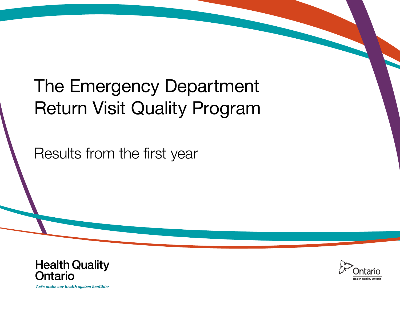# The Emergency Department Return Visit Quality Program

Results from the first year



Let's make our health system healthier

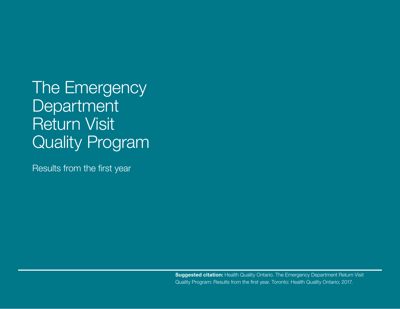# The Emergency **Department** Return Visit Quality Program

Results from the first year

**Suggested citation:** Health Quality Ontario. The Emergency Department Return Visit Quality Program: Results from the first year. Toronto: Health Quality Ontario; 2017.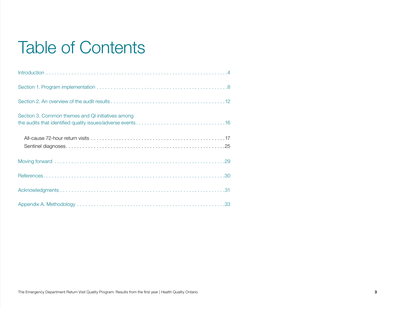# Table of Contents

| Section 3. Common themes and QI initiatives among |
|---------------------------------------------------|
|                                                   |
|                                                   |
|                                                   |
|                                                   |
|                                                   |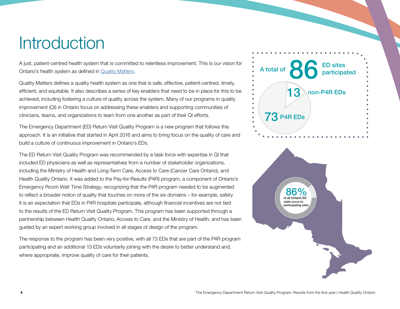# <span id="page-3-0"></span>**Introduction**

A just, patient-centred health system that is committed to relentless improvement. This is our vision for Ontario's health system as defined in [Quality Matters](http://www.hqontario.ca/What-is-Health-Quality/Quality-Matters-A-Plan-for-Health-Quality).

Quality Matters defines a quality health system as one that is safe, effective, patient-centred, timely, efficient, and equitable. It also describes a series of key enablers that need to be in place for this to be achieved, including fostering a culture of quality across the system. Many of our programs in quality improvement (QI) in Ontario focus on addressing these enablers and supporting communities of clinicians, teams, and organizations to learn from one another as part of their QI efforts.

The Emergency Department (ED) Return Visit Quality Program is a new program that follows this approach. It is an initiative that started in April 2016 and aims to bring focus on the quality of care and build a culture of continuous improvement in Ontario's EDs.

The ED Return Visit Quality Program was recommended by a task force with expertise in QI that included ED physicians as well as representatives from a number of stakeholder organizations, including the Ministry of Health and Long-Term Care, Access to Care (Cancer Care Ontario), and Health Quality Ontario. It was added to the Pay-for-Results (P4R) program, a component of Ontario's Emergency Room Wait Time Strategy, recognizing that the P4R program needed to be augmented to reflect a broader notion of quality that touches on more of the six domains – for example, safety. It is an expectation that EDs in P4R hospitals participate, although financial incentives are not tied to the results of the ED Return Visit Quality Program. This program has been supported through a partnership between Health Quality Ontario, Access to Care, and the Ministry of Health, and has been guided by an expert working group involved in all stages of design of the program.

The response to the program has been very positive, with all 73 EDs that are part of the P4R program participating and an additional 13 EDs voluntarily joining with the desire to better understand and, where appropriate, improve quality of care for their patients.



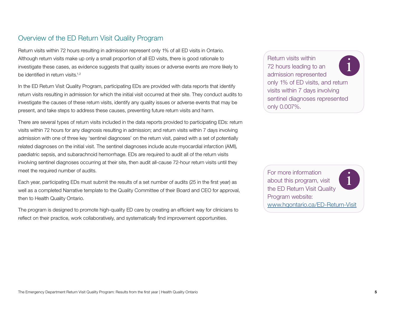## Overview of the ED Return Visit Quality Program

Return visits within 72 hours resulting in admission represent only 1% of all ED visits in Ontario. Although return visits make up only a small proportion of all ED visits, there is good rationale to investigate these cases, as evidence suggests that quality issues or adverse events are more likely to be identified in return visits  $1,2$ 

In the ED Return Visit Quality Program, participating EDs are provided with data reports that identify return visits resulting in admission for which the initial visit occurred at their site. They conduct audits to investigate the causes of these return visits, identify any quality issues or adverse events that may be present, and take steps to address these causes, preventing future return visits and harm.

There are several types of return visits included in the data reports provided to participating EDs: return visits within 72 hours for any diagnosis resulting in admission; and return visits within 7 days involving admission with one of three key 'sentinel diagnoses' on the return visit, paired with a set of potentially related diagnoses on the initial visit. The sentinel diagnoses include acute myocardial infarction (AMI), paediatric sepsis, and subarachnoid hemorrhage. EDs are required to audit all of the return visits involving sentinel diagnoses occurring at their site, then audit all-cause 72-hour return visits until they meet the required number of audits.

Each year, participating EDs must submit the results of a set number of audits (25 in the first year) as well as a completed Narrative template to the Quality Committee of their Board and CEO for approval, then to Health Quality Ontario.

The program is designed to promote high-quality ED care by creating an efficient way for clinicians to reflect on their practice, work collaboratively, and systematically find improvement opportunities.

Return visits within 72 hours leading to an admission represented only 1% of ED visits, and return visits within 7 days involving sentinel diagnoses represented only 0.007%. i

For more information about this program, visit the ED Return Visit Quality Program website: <www.hqontario.ca/ED-Return-Visit> i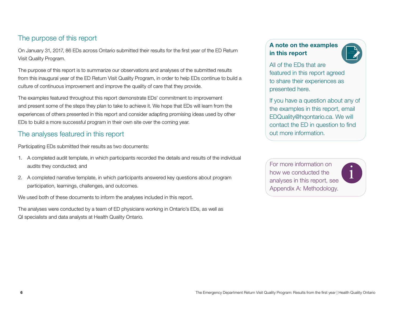## The purpose of this report

On January 31, 2017, 86 EDs across Ontario submitted their results for the first year of the ED Return Visit Quality Program.

The purpose of this report is to summarize our observations and analyses of the submitted results from this inaugural year of the ED Return Visit Quality Program, in order to help EDs continue to build a culture of continuous improvement and improve the quality of care that they provide.

The examples featured throughout this report demonstrate EDs' commitment to improvement and present some of the steps they plan to take to achieve it. We hope that EDs will learn from the experiences of others presented in this report and consider adapting promising ideas used by other EDs to build a more successful program in their own site over the coming year.

## The analyses featured in this report

Participating EDs submitted their results as two documents:

- 1. A completed audit template, in which participants recorded the details and results of the individual audits they conducted; and
- 2. A completed narrative template, in which participants answered key questions about program participation, learnings, challenges, and outcomes.

We used both of these documents to inform the analyses included in this report.

The analyses were conducted by a team of ED physicians working in Ontario's EDs, as well as QI specialists and data analysts at Health Quality Ontario.

### A note on the examples in this report



i

All of the EDs that are featured in this report agreed to share their experiences as presented here.

If you have a question about any of the examples in this report, email EDQuality@hqontario.ca. We will contact the ED in question to find out more information.

For more information on how we conducted the analyses in this report, see Appendix A: Methodology.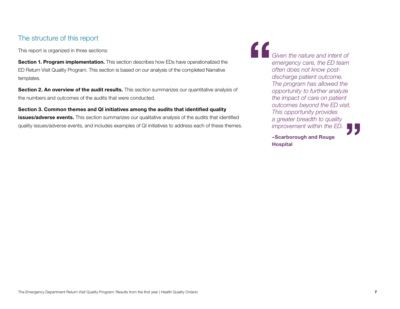## The structure of this report

This report is organized in three sections:

Section 1. Program implementation. This section describes how EDs have operationalized the ED Return Visit Quality Program. This section is based on our analysis of the completed Narrative templates.

Section 2. An overview of the audit results. This section summarizes our quantitative analysis of the numbers and outcomes of the audits that were conducted.

Section 3. Common themes and QI initiatives among the audits that identified quality issues/adverse events. This section summarizes our qualitative analysis of the audits that identified quality issues/adverse events, and includes examples of QI initiatives to address each of these themes. " **"** *Given the nature and intent of emergency care, the ED team often does not know postdischarge patient outcome. The program has allowed the opportunity to further analyze the impact of care on patient outcomes beyond the ED visit. This opportunity provides a greater breadth to quality improvement within the ED.*

–Scarborough and Rouge Hospital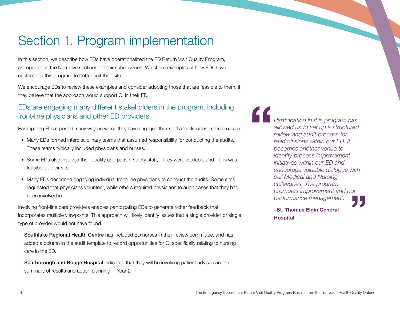## <span id="page-7-0"></span>Section 1. Program implementation

In this section, we describe how EDs have operationalized the ED Return Visit Quality Program, as reported in the Narrative sections of their submissions. We share examples of how EDs have customized this program to better suit their site.

We encourage EDs to review these examples and consider adopting those that are feasible to them, if they believe that the approach would support QI in their ED.

## EDs are engaging many different stakeholders in the program, including front-line physicians and other ED providers

Participating EDs reported many ways in which they have engaged their staff and clinicians in this program:

- Many EDs formed interdisciplinary teams that assumed responsibility for conducting the audits. These teams typically included physicians and nurses.
- Some EDs also involved their quality and patient safety staff, if they were available and if this was feasible at their site.
- Many EDs described engaging individual front-line physicians to conduct the audits. Some sites requested that physicians volunteer, while others required physicians to audit cases that they had been involved in.

Involving front-line care providers enables participating EDs to generate richer feedback that incorporates multiple viewpoints. This approach will likely identify issues that a single provider or single type of provider would not have found.

Southlake Regional Health Centre has included ED nurses in their review committee, and has added a column in the audit template to record opportunities for QI specifically relating to nursing care in the ED.

Scarborough and Rouge Hospital indicated that they will be involving patient advisors in the summary of results and action planning in Year 2.

"*Participation in this program has allowed us to set up a structured review and audit process for readmissions within our ED. It becomes another venue to identify process improvement initiatives within our ED and encourage valuable dialogue with our Medical and Nursing colleagues. The program promotes improvement and not performance management.* "נ<br>**"** 

–St. Thomas Elgin General **Hospital**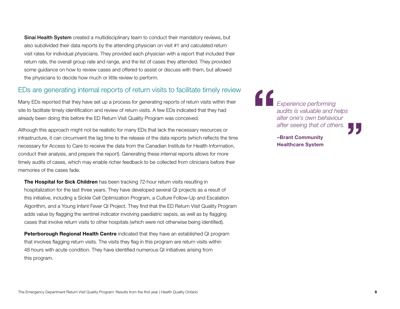**Sinai Health System** created a multidisciplinary team to conduct their mandatory reviews, but also subdivided their data reports by the attending physician on visit #1 and calculated return visit rates for individual physicians. They provided each physician with a report that included their return rate, the overall group rate and range, and the list of cases they attended. They provided some guidance on how to review cases and offered to assist or discuss with them, but allowed the physicians to decide how much or little review to perform.

### EDs are generating internal reports of return visits to facilitate timely review

Many EDs reported that they have set up a process for generating reports of return visits within their site to facilitate timely identification and review of return visits. A few EDs indicated that they had already been doing this before the ED Return Visit Quality Program was conceived.

Although this approach might not be realistic for many EDs that lack the necessary resources or infrastructure, it can circumvent the lag time to the release of the data reports (which reflects the time necessary for Access to Care to receive the data from the Canadian Institute for Health Information, conduct their analysis, and prepare the report). Generating these internal reports allows for more timely audits of cases, which may enable richer feedback to be collected from clinicians before their memories of the cases fade.

**The Hospital for Sick Children** has been tracking 72-hour return visits resulting in hospitalization for the last three years. They have developed several QI projects as a result of this initiative, including a Sickle Cell Optimization Program, a Culture Follow-Up and Escalation Algorithm, and a Young Infant Fever QI Project. They find that the ED Return Visit Quality Program adds value by flagging the sentinel indicator involving paediatric sepsis, as well as by flagging cases that involve return visits to other hospitals (which were not otherwise being identified).

**Peterborough Regional Health Centre** indicated that they have an established QI program that involves flagging return visits. The visits they flag in this program are return visits within 48 hours with acute condition. They have identified numerous QI initiatives arising from this program.

" **"** *Experience performing audits is valuable and helps alter one's own behaviour after seeing that of others.*

–Brant Community Healthcare System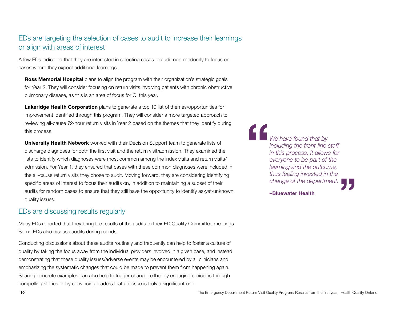## EDs are targeting the selection of cases to audit to increase their learnings or align with areas of interest

A few EDs indicated that they are interested in selecting cases to audit non-randomly to focus on cases where they expect additional learnings.

Ross Memorial Hospital plans to align the program with their organization's strategic goals for Year 2. They will consider focusing on return visits involving patients with chronic obstructive pulmonary disease, as this is an area of focus for QI this year.

**Lakeridge Health Corporation** plans to generate a top 10 list of themes/opportunities for improvement identified through this program. They will consider a more targeted approach to reviewing all-cause 72-hour return visits in Year 2 based on the themes that they identify during this process.

**University Health Network** worked with their Decision Support team to generate lists of discharge diagnoses for both the first visit and the return visit/admission. They examined the lists to identify which diagnoses were most common among the index visits and return visits/ admission. For Year 1, they ensured that cases with these common diagnoses were included in the all-cause return visits they chose to audit. Moving forward, they are considering identifying specific areas of interest to focus their audits on, in addition to maintaining a subset of their audits for random cases to ensure that they still have the opportunity to identify as-yet-unknown quality issues.

## EDs are discussing results regularly

Many EDs reported that they bring the results of the audits to their ED Quality Committee meetings. Some EDs also discuss audits during rounds.

Conducting discussions about these audits routinely and frequently can help to foster a culture of quality by taking the focus away from the individual providers involved in a given case, and instead demonstrating that these quality issues/adverse events may be encountered by all clinicians and emphasizing the systematic changes that could be made to prevent them from happening again. Sharing concrete examples can also help to trigger change, either by engaging clinicians through compelling stories or by convincing leaders that an issue is truly a significant one.

" *We have found that by including the front-line staff in this process, it allows for everyone to be part of the learning and the outcome, thus feeling invested in the change of the department.*



–Bluewater Health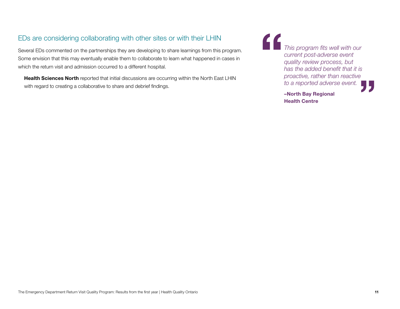## EDs are considering collaborating with other sites or with their LHIN

Several EDs commented on the partnerships they are developing to share learnings from this program. Some envision that this may eventually enable them to collaborate to learn what happened in cases in which the return visit and admission occurred to a different hospital.

Health Sciences North reported that initial discussions are occurring within the North East LHIN with regard to creating a collaborative to share and debrief findings.



–North Bay Regional Health Centre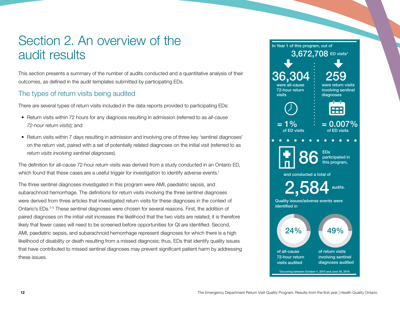## <span id="page-11-0"></span>Section 2. An overview of the audit results

This section presents a summary of the number of audits conducted and a quantitative analysis of their outcomes, as defined in the audit templates submitted by participating EDs.

## The types of return visits being audited

There are several types of return visits included in the data reports provided to participating EDs:

- • Return visits within 72 hours for any diagnosis resulting in admission (referred to as *all-cause 72-hour return visits*); and
- Return visits within 7 days resulting in admission and involving one of three key 'sentinel diagnoses' on the return visit, paired with a set of potentially related diagnoses on the initial visit (referred to as *return visits involving sentinel diagnoses*).

The definition for all-cause 72-hour return visits was derived from a study conducted in an Ontario ED, which found that these cases are a useful trigger for investigation to identify adverse events.<sup>1</sup>

The three sentinel diagnoses investigated in this program were AMI, paediatric sepsis, and subarachnoid hemorrhage. The definitions for return visits involving the three sentinel diagnoses were derived from three articles that investigated return visits for these diagnoses in the context of Ontario's EDs.3-5 These sentinel diagnoses were chosen for several reasons. First, the addition of paired diagnoses on the initial visit increases the likelihood that the two visits are related; it is therefore likely that fewer cases will need to be screened before opportunities for QI are identified. Second, AMI, paediatric sepsis, and subarachnoid hemorrhage represent diagnoses for which there is a high likelihood of disability or death resulting from a missed diagnosis; thus, EDs that identify quality issues that have contributed to missed sentinel diagnoses may prevent significant patient harm by addressing these issues.

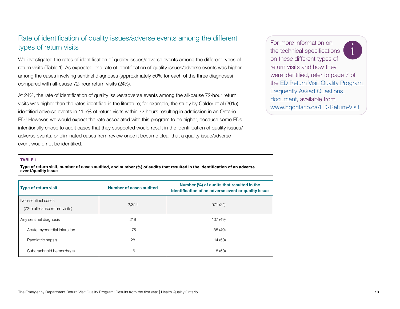## Rate of identification of quality issues/adverse events among the different types of return visits

We investigated the rates of identification of quality issues/adverse events among the different types of return visits (Table 1). As expected, the rate of identification of quality issues/adverse events was higher among the cases involving sentinel diagnoses (approximately 50% for each of the three diagnoses) compared with all-cause 72-hour return visits (24%).

At 24%, the rate of identification of quality issues/adverse events among the all-cause 72-hour return visits was higher than the rates identified in the literature; for example, the study by Calder et al (2015) identified adverse events in 11.9% of return visits within 72 hours resulting in admission in an Ontario ED.1 However, we would expect the rate associated with this program to be higher, because some EDs intentionally chose to audit cases that they suspected would result in the identification of quality issues/ adverse events, or eliminated cases from review once it became clear that a quality issue/adverse event would not be identified.

For more information on the technical specifications on these different types of return visits and how they were identified, refer to page 7 of the [ED Return Visit Quality Program](http://www.hqontario.ca/Portals/0/documents/qi/faq-emergency-department-en.pdf)  [Frequently Asked Questions](http://www.hqontario.ca/Portals/0/documents/qi/faq-emergency-department-en.pdf)  [document](http://www.hqontario.ca/Portals/0/documents/qi/faq-emergency-department-en.pdf), available from <www.hqontario.ca/ED-Return-Visit> i

#### TABLE 1

Type of return visit, number of cases audited, and number (%) of audits that resulted in the identification of an adverse event/quality issue

| <b>Type of return visit</b>                          | Number of cases audited | Number (%) of audits that resulted in the<br>identification of an adverse event or quality issue |  |  |
|------------------------------------------------------|-------------------------|--------------------------------------------------------------------------------------------------|--|--|
| Non-sentinel cases<br>(72-h all-cause return visits) | 2,354                   | 571 (24)                                                                                         |  |  |
| Any sentinel diagnosis                               | 219                     | 107 (49)                                                                                         |  |  |
| Acute myocardial infarction                          | 175                     | 85 (49)                                                                                          |  |  |
| Paediatric sepsis                                    | 28                      | 14 (50)                                                                                          |  |  |
| Subarachnoid hemorrhage                              | 16                      | 8(50)                                                                                            |  |  |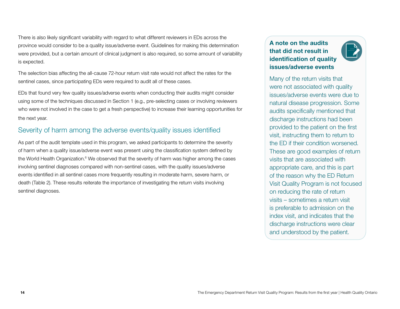There is also likely significant variability with regard to what different reviewers in EDs across the province would consider to be a quality issue/adverse event. Guidelines for making this determination were provided, but a certain amount of clinical judgment is also required, so some amount of variability is expected.

The selection bias affecting the all-cause 72-hour return visit rate would not affect the rates for the sentinel cases, since participating EDs were required to audit all of these cases.

EDs that found very few quality issues/adverse events when conducting their audits might consider using some of the techniques discussed in Section 1 (e.g., pre-selecting cases or involving reviewers who were not involved in the case to get a fresh perspective) to increase their learning opportunities for the next year.

## Severity of harm among the adverse events/quality issues identified

As part of the audit template used in this program, we asked participants to determine the severity of harm when a quality issue/adverse event was present using the classification system defined by the World Health Organization.<sup>6</sup> We observed that the severity of harm was higher among the cases involving sentinel diagnoses compared with non-sentinel cases, with the quality issues/adverse events identified in all sentinel cases more frequently resulting in moderate harm, severe harm, or death (Table 2). These results reiterate the importance of investigating the return visits involving sentinel diagnoses.

## A note on the audits that did not result in identification of quality issues/adverse events



Many of the return visits that were not associated with quality issues/adverse events were due to natural disease progression. Some audits specifically mentioned that discharge instructions had been provided to the patient on the first visit, instructing them to return to the ED if their condition worsened. These are good examples of return visits that are associated with appropriate care, and this is part of the reason why the ED Return Visit Quality Program is not focused on reducing the rate of return visits – sometimes a return visit is preferable to admission on the index visit, and indicates that the discharge instructions were clear and understood by the patient.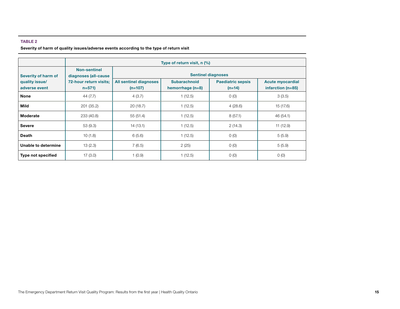#### TABLE 2

#### Severity of harm of quality issues/adverse events according to the type of return visit

|                                 | Type of return visit, n (%)                 |                                            |                                           |                                      |                                              |  |
|---------------------------------|---------------------------------------------|--------------------------------------------|-------------------------------------------|--------------------------------------|----------------------------------------------|--|
| Severity of harm of             | <b>Non-sentinel</b><br>diagnoses (all-cause | <b>Sentinel diagnoses</b>                  |                                           |                                      |                                              |  |
| quality issue/<br>adverse event | 72-hour return visits;<br>$n = 571$         | <b>All sentinel diagnoses</b><br>$(n=107)$ | <b>Subarachnoid</b><br>hemorrhage $(n=8)$ | <b>Paediatric sepsis</b><br>$(n=14)$ | <b>Acute myocardial</b><br>infarction (n=85) |  |
| <b>None</b>                     | 44 (7.7)                                    | 4(3.7)                                     | 1(12.5)                                   | O(0)                                 | 3(3.5)                                       |  |
| Mild                            | 201 (35.2)                                  | 20(18.7)                                   | 1(12.5)                                   | 4(28.6)                              | 15 (17.6)                                    |  |
| Moderate                        | 233 (40.8)                                  | 55(51.4)                                   | 1(12.5)                                   | 8(57.1)                              | 46 (54.1)                                    |  |
| <b>Severe</b>                   | 53(9.3)                                     | 14 (13.1)                                  | 1(12.5)                                   | 2(14.3)                              | 11(12.9)                                     |  |
| <b>Death</b>                    | 10(1.8)                                     | 6(5.6)                                     | 1(12.5)                                   | O(0)                                 | 5(5.9)                                       |  |
| Unable to determine             | 13(2.3)                                     | 7(6.5)                                     | 2(25)                                     | O(0)                                 | 5(5.9)                                       |  |
| <b>Type not specified</b>       | 17(3.0)                                     | 1(0.9)                                     | 1(12.5)                                   | O(0)                                 | O(0)                                         |  |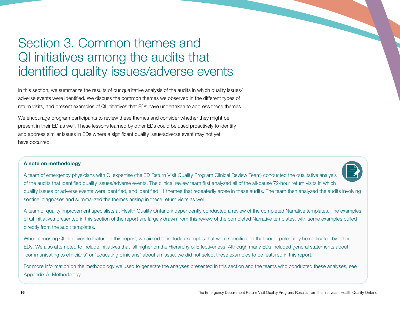## <span id="page-15-0"></span>Section 3. Common themes and QI initiatives among the audits that identified quality issues/adverse events

In this section, we summarize the results of our qualitative analysis of the audits in which quality issues/ adverse events were identified. We discuss the common themes we observed in the different types of return visits, and present examples of QI initiatives that EDs have undertaken to address these themes.

We encourage program participants to review these themes and consider whether they might be present in their ED as well. These lessons learned by other EDs could be used proactively to identify and address similar issues in EDs where a significant quality issue/adverse event may not yet have occurred.

#### A note on methodology



A team of quality improvement specialists at Health Quality Ontario independently conducted a review of the completed Narrative templates. The examples of QI initiatives presented in this section of the report are largely drawn from this review of the completed Narrative templates, with some examples pulled directly from the audit templates.

When choosing QI initiatives to feature in this report, we aimed to include examples that were specific and that could potentially be replicated by other EDs. We also attempted to include initiatives that fall higher on the Hierarchy of Effectiveness. Although many EDs included general statements about "communicating to clinicians" or "educating clinicians" about an issue, we did not select these examples to be featured in this report.

For more information on the methodology we used to generate the analyses presented in this section and the teams who conducted these analyses, see Appendix A: Methodology.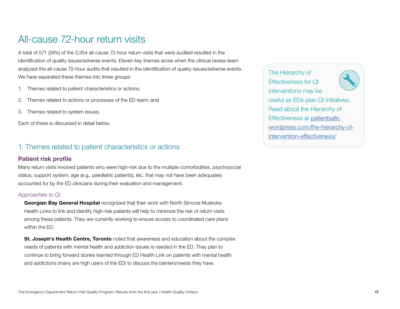## <span id="page-16-0"></span>All-cause 72-hour return visits

A total of 571 (24%) of the 2,354 all-cause 72-hour return visits that were audited resulted in the identification of quality issues/adverse events. Eleven key themes arose when the clinical review team analyzed the all-cause 72-hour audits that resulted in the identification of quality issues/adverse events. We have separated these themes into three groups:

- 1. Themes related to patient characteristics or actions;
- 2. Themes related to actions or processes of the ED team; and
- 3. Themes related to system issues.

Each of these is discussed in detail below.

#### 1. Themes related to patient characteristics or actions

#### Patient risk profile

Many return visits involved patients who were high-risk due to the multiple comorbidities, psychosocial status, support system, age (e.g., paediatric patients), etc. that may not have been adequately accounted for by the ED clinicians during their evaluation and management.

#### *Approaches to QI*

Georgian Bay General Hospital recognized that their work with North Simcoe Muskoka Health Links to link and identify high-risk patients will help to minimize the risk of return visits among these patients. They are currently working to ensure access to coordinated care plans within the ED.

**St. Joseph's Health Centre, Toronto** noted that awareness and education about the complex needs of patients with mental health and addiction issues is needed in the ED. They plan to continue to bring forward stories learned through ED Health Link on patients with mental health and addictions (many are high users of the ED) to discuss the barriers/needs they have.

The Hierarchy of Effectiveness for QI interventions may be useful as EDs plan QI initiatives. Read about the Hierarchy of Effectiveness at [patientsafe.](https://patientsafe.wordpress.com/the-hierarchy-of-intervention-effectiveness/) [wordpress.com/the-hierarchy-of](https://patientsafe.wordpress.com/the-hierarchy-of-intervention-effectiveness/)[intervention-effectiveness/](https://patientsafe.wordpress.com/the-hierarchy-of-intervention-effectiveness/)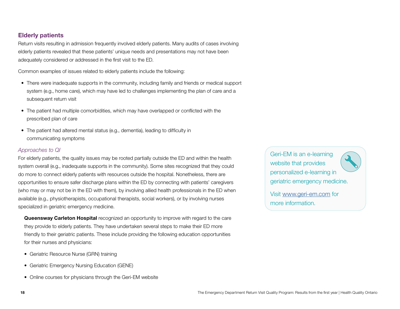#### **Elderly patients**

Return visits resulting in admission frequently involved elderly patients. Many audits of cases involving elderly patients revealed that these patients' unique needs and presentations may not have been adequately considered or addressed in the first visit to the ED.

Common examples of issues related to elderly patients include the following:

- There were inadequate supports in the community, including family and friends or medical support system (e.g., home care), which may have led to challenges implementing the plan of care and a subsequent return visit
- The patient had multiple comorbidities, which may have overlapped or conflicted with the prescribed plan of care
- The patient had altered mental status (e.g., dementia), leading to difficulty in communicating symptoms

#### *Approaches to QI*

For elderly patients, the quality issues may be rooted partially outside the ED and within the health system overall (e.g., inadequate supports in the community). Some sites recognized that they could do more to connect elderly patients with resources outside the hospital. Nonetheless, there are opportunities to ensure safer discharge plans within the ED by connecting with patients' caregivers (who may or may not be in the ED with them), by involving allied health professionals in the ED when available (e.g., physiotherapists, occupational therapists, social workers), or by involving nurses specialized in geriatric emergency medicine.

**Queensway Carleton Hospital** recognized an opportunity to improve with regard to the care they provide to elderly patients. They have undertaken several steps to make their ED more friendly to their geriatric patients. These include providing the following education opportunities for their nurses and physicians:

- Geriatric Resource Nurse (GRN) training
- Geriatric Emergency Nursing Education (GENE)
- Online courses for physicians through the Geri-EM website

Geri-EM is an e-learning website that provides personalized e-learning in geriatric emergency medicine.

Visit [www.geri-em.com](http://www.geri-em.com) for more information.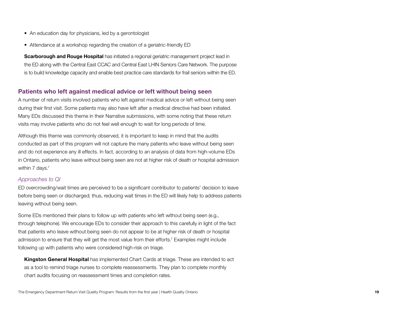- An education day for physicians, led by a gerontologist
- Attendance at a workshop regarding the creation of a geriatric-friendly ED

**Scarborough and Rouge Hospital** has initiated a regional geriatric management project lead in the ED along with the Central East CCAC and Central East LHIN Seniors Care Network. The purpose is to build knowledge capacity and enable best practice care standards for frail seniors within the ED.

#### Patients who left against medical advice or left without being seen

A number of return visits involved patients who left against medical advice or left without being seen during their first visit. Some patients may also have left after a medical directive had been initiated. Many EDs discussed this theme in their Narrative submissions, with some noting that these return visits may involve patients who do not feel well enough to wait for long periods of time.

Although this theme was commonly observed, it is important to keep in mind that the audits conducted as part of this program will not capture the many patients who leave without being seen and do not experience any ill effects. In fact, according to an analysis of data from high-volume EDs in Ontario, patients who leave without being seen are not at higher risk of death or hospital admission within 7 days.<sup>7</sup>

#### *Approaches to QI*

ED overcrowding/wait times are perceived to be a significant contributor to patients' decision to leave before being seen or discharged; thus, reducing wait times in the ED will likely help to address patients leaving without being seen.

Some EDs mentioned their plans to follow up with patients who left without being seen (e.g., through telephone). We encourage EDs to consider their approach to this carefully in light of the fact that patients who leave without being seen do not appear to be at higher risk of death or hospital admission to ensure that they will get the most value from their efforts.<sup>7</sup> Examples might include following up with patients who were considered high-risk on triage.

**Kingston General Hospital** has implemented Chart Cards at triage. These are intended to act as a tool to remind triage nurses to complete reassessments. They plan to complete monthly chart audits focusing on reassessment times and completion rates.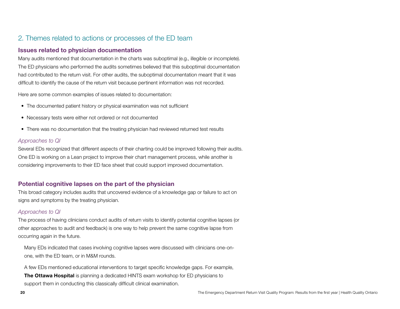## 2. Themes related to actions or processes of the ED team

#### Issues related to physician documentation

Many audits mentioned that documentation in the charts was suboptimal (e.g., illegible or incomplete). The ED physicians who performed the audits sometimes believed that this suboptimal documentation had contributed to the return visit. For other audits, the suboptimal documentation meant that it was difficult to identify the cause of the return visit because pertinent information was not recorded.

Here are some common examples of issues related to documentation:

- The documented patient history or physical examination was not sufficient
- Necessary tests were either not ordered or not documented
- There was no documentation that the treating physician had reviewed returned test results

#### *Approaches to QI*

Several EDs recognized that different aspects of their charting could be improved following their audits. One ED is working on a Lean project to improve their chart management process, while another is considering improvements to their ED face sheet that could support improved documentation.

#### Potential cognitive lapses on the part of the physician

This broad category includes audits that uncovered evidence of a knowledge gap or failure to act on signs and symptoms by the treating physician.

#### *Approaches to QI*

The process of having clinicians conduct audits of return visits to identify potential cognitive lapses (or other approaches to audit and feedback) is one way to help prevent the same cognitive lapse from occurring again in the future.

Many EDs indicated that cases involving cognitive lapses were discussed with clinicians one-onone, with the ED team, or in M&M rounds.

A few EDs mentioned educational interventions to target specific knowledge gaps. For example, **The Ottawa Hospital** is planning a dedicated HINTS exam workshop for ED physicians to support them in conducting this classically difficult clinical examination.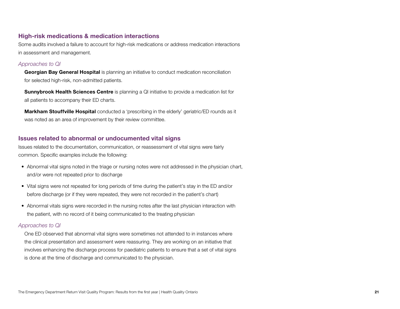#### High-risk medications & medication interactions

Some audits involved a failure to account for high-risk medications or address medication interactions in assessment and management.

#### *Approaches to QI*

**Georgian Bay General Hospital** is planning an initiative to conduct medication reconciliation for selected high-risk, non-admitted patients.

**Sunnybrook Health Sciences Centre** is planning a QI initiative to provide a medication list for all patients to accompany their ED charts.

**Markham Stouffville Hospital** conducted a 'prescribing in the elderly' geriatric/ED rounds as it was noted as an area of improvement by their review committee.

#### Issues related to abnormal or undocumented vital signs

Issues related to the documentation, communication, or reassessment of vital signs were fairly common. Specific examples include the following:

- Abnormal vital signs noted in the triage or nursing notes were not addressed in the physician chart, and/or were not repeated prior to discharge
- • Vital signs were not repeated for long periods of time during the patient's stay in the ED and/or before discharge (or if they were repeated, they were not recorded in the patient's chart)
- Abnormal vitals signs were recorded in the nursing notes after the last physician interaction with the patient, with no record of it being communicated to the treating physician

#### *Approaches to QI*

One ED observed that abnormal vital signs were sometimes not attended to in instances where the clinical presentation and assessment were reassuring. They are working on an initiative that involves enhancing the discharge process for paediatric patients to ensure that a set of vital signs is done at the time of discharge and communicated to the physician.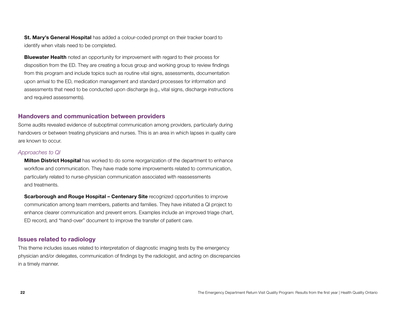**St. Mary's General Hospital** has added a colour-coded prompt on their tracker board to identify when vitals need to be completed.

**Bluewater Health** noted an opportunity for improvement with regard to their process for disposition from the ED. They are creating a focus group and working group to review findings from this program and include topics such as routine vital signs, assessments, documentation upon arrival to the ED, medication management and standard processes for information and assessments that need to be conducted upon discharge (e.g., vital signs, discharge instructions and required assessments).

#### Handovers and communication between providers

Some audits revealed evidence of suboptimal communication among providers, particularly during handovers or between treating physicians and nurses. This is an area in which lapses in quality care are known to occur.

#### *Approaches to QI*

**Milton District Hospital** has worked to do some reorganization of the department to enhance workflow and communication. They have made some improvements related to communication, particularly related to nurse-physician communication associated with reassessments and treatments.

**Scarborough and Rouge Hospital – Centenary Site recognized opportunities to improve** communication among team members, patients and families. They have initiated a QI project to enhance clearer communication and prevent errors. Examples include an improved triage chart, ED record, and "hand-over" document to improve the transfer of patient care.

#### Issues related to radiology

This theme includes issues related to interpretation of diagnostic imaging tests by the emergency physician and/or delegates, communication of findings by the radiologist, and acting on discrepancies in a timely manner.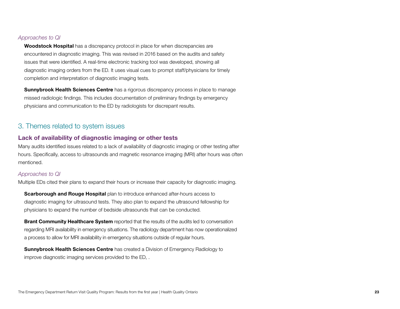#### *Approaches to QI*

**Woodstock Hospital** has a discrepancy protocol in place for when discrepancies are encountered in diagnostic imaging. This was revised in 2016 based on the audits and safety issues that were identified. A real-time electronic tracking tool was developed, showing all diagnostic imaging orders from the ED. It uses visual cues to prompt staff/physicians for timely completion and interpretation of diagnostic imaging tests.

**Sunnybrook Health Sciences Centre** has a rigorous discrepancy process in place to manage missed radiologic findings. This includes documentation of preliminary findings by emergency physicians and communication to the ED by radiologists for discrepant results.

### 3. Themes related to system issues

#### Lack of availability of diagnostic imaging or other tests

Many audits identified issues related to a lack of availability of diagnostic imaging or other testing after hours. Specifically, access to ultrasounds and magnetic resonance imaging (MRI) after hours was often mentioned.

#### *Approaches to QI*

Multiple EDs cited their plans to expand their hours or increase their capacity for diagnostic imaging.

**Scarborough and Rouge Hospital** plan to introduce enhanced after-hours access to diagnostic imaging for ultrasound tests. They also plan to expand the ultrasound fellowship for physicians to expand the number of bedside ultrasounds that can be conducted.

**Brant Community Healthcare System** reported that the results of the audits led to conversation regarding MRI availability in emergency situations. The radiology department has now operationalized a process to allow for MRI availability in emergency situations outside of regular hours.

**Sunnybrook Health Sciences Centre** has created a Division of Emergency Radiology to improve diagnostic imaging services provided to the ED, .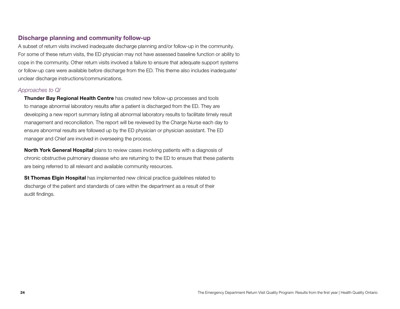#### Discharge planning and community follow-up

A subset of return visits involved inadequate discharge planning and/or follow-up in the community. For some of these return visits, the ED physician may not have assessed baseline function or ability to cope in the community. Other return visits involved a failure to ensure that adequate support systems or follow-up care were available before discharge from the ED. This theme also includes inadequate/ unclear discharge instructions/communications.

#### *Approaches to QI*

**Thunder Bay Regional Health Centre** has created new follow-up processes and tools to manage abnormal laboratory results after a patient is discharged from the ED. They are developing a new report summary listing all abnormal laboratory results to facilitate timely result management and reconciliation. The report will be reviewed by the Charge Nurse each day to ensure abnormal results are followed up by the ED physician or physician assistant. The ED manager and Chief are involved in overseeing the process.

**North York General Hospital** plans to review cases involving patients with a diagnosis of chronic obstructive pulmonary disease who are returning to the ED to ensure that these patients are being referred to all relevant and available community resources.

**St Thomas Elgin Hospital** has implemented new clinical practice guidelines related to discharge of the patient and standards of care within the department as a result of their audit findings.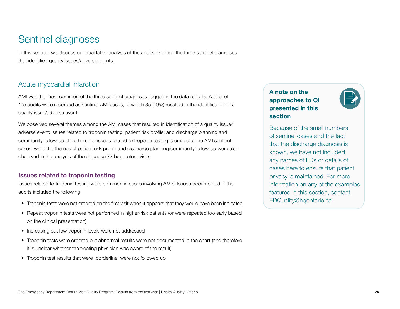## <span id="page-24-0"></span>Sentinel diagnoses

In this section, we discuss our qualitative analysis of the audits involving the three sentinel diagnoses that identified quality issues/adverse events.

## Acute myocardial infarction

AMI was the most common of the three sentinel diagnoses flagged in the data reports. A total of 175 audits were recorded as sentinel AMI cases, of which 85 (49%) resulted in the identification of a quality issue/adverse event.

We observed several themes among the AMI cases that resulted in identification of a quality issue/ adverse event: issues related to troponin testing; patient risk profile; and discharge planning and community follow-up. The theme of issues related to troponin testing is unique to the AMI sentinel cases, while the themes of patient risk profile and discharge planning/community follow-up were also observed in the analysis of the all-cause 72-hour return visits.

#### Issues related to troponin testing

Issues related to troponin testing were common in cases involving AMIs. Issues documented in the audits included the following:

- Troponin tests were not ordered on the first visit when it appears that they would have been indicated
- Repeat troponin tests were not performed in higher-risk patients (or were repeated too early based on the clinical presentation)
- Increasing but low troponin levels were not addressed
- Troponin tests were ordered but abnormal results were not documented in the chart (and therefore it is unclear whether the treating physician was aware of the result)
- Troponin test results that were 'borderline' were not followed up

## A note on the approaches to QI presented in this section



Because of the small numbers of sentinel cases and the fact that the discharge diagnosis is known, we have not included any names of EDs or details of cases here to ensure that patient privacy is maintained. For more information on any of the examples featured in this section, contact EDQuality@hqontario.ca.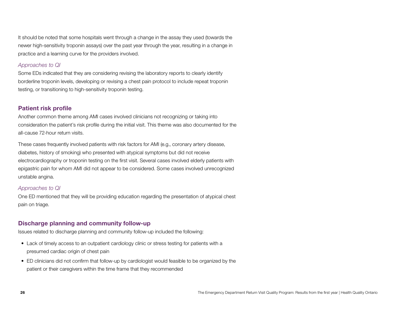It should be noted that some hospitals went through a change in the assay they used (towards the newer high-sensitivity troponin assays) over the past year through the year, resulting in a change in practice and a learning curve for the providers involved.

#### *Approaches to QI*

Some EDs indicated that they are considering revising the laboratory reports to clearly identify borderline troponin levels, developing or revising a chest pain protocol to include repeat troponin testing, or transitioning to high-sensitivity troponin testing.

#### Patient risk profile

Another common theme among AMI cases involved clinicians not recognizing or taking into consideration the patient's risk profile during the initial visit. This theme was also documented for the all-cause 72-hour return visits.

These cases frequently involved patients with risk factors for AMI (e.g., coronary artery disease, diabetes, history of smoking) who presented with atypical symptoms but did not receive electrocardiography or troponin testing on the first visit. Several cases involved elderly patients with epigastric pain for whom AMI did not appear to be considered. Some cases involved unrecognized unstable angina.

#### *Approaches to QI*

One ED mentioned that they will be providing education regarding the presentation of atypical chest pain on triage.

#### Discharge planning and community follow-up

Issues related to discharge planning and community follow-up included the following:

- Lack of timely access to an outpatient cardiology clinic or stress testing for patients with a presumed cardiac origin of chest pain
- ED clinicians did not confirm that follow-up by cardiologist would feasible to be organized by the patient or their caregivers within the time frame that they recommended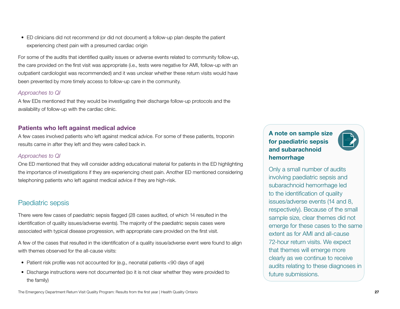• ED clinicians did not recommend (or did not document) a follow-up plan despite the patient experiencing chest pain with a presumed cardiac origin

For some of the audits that identified quality issues or adverse events related to community follow-up, the care provided on the first visit was appropriate (i.e., tests were negative for AMI, follow-up with an outpatient cardiologist was recommended) and it was unclear whether these return visits would have been prevented by more timely access to follow-up care in the community.

#### *Approaches to QI*

A few EDs mentioned that they would be investigating their discharge follow-up protocols and the availability of follow-up with the cardiac clinic.

#### Patients who left against medical advice

A few cases involved patients who left against medical advice. For some of these patients, troponin results came in after they left and they were called back in.

#### *Approaches to QI*

One ED mentioned that they will consider adding educational material for patients in the ED highlighting the importance of investigations if they are experiencing chest pain. Another ED mentioned considering telephoning patients who left against medical advice if they are high-risk.

## Paediatric sepsis

There were few cases of paediatric sepsis flagged (28 cases audited, of which 14 resulted in the identification of quality issues/adverse events). The majority of the paediatric sepsis cases were associated with typical disease progression, with appropriate care provided on the first visit.

A few of the cases that resulted in the identification of a quality issue/adverse event were found to align with themes observed for the all-cause visits:

- Patient risk profile was not accounted for (e.g., neonatal patients <90 days of age)
- Discharge instructions were not documented (so it is not clear whether they were provided to the family)

### A note on sample size for paediatric sepsis and subarachnoid hemorrhage



Only a small number of audits involving paediatric sepsis and subarachnoid hemorrhage led to the identification of quality issues/adverse events (14 and 8, respectively). Because of the small sample size, clear themes did not emerge for these cases to the same extent as for AMI and all-cause 72-hour return visits. We expect that themes will emerge more clearly as we continue to receive audits relating to these diagnoses in future submissions.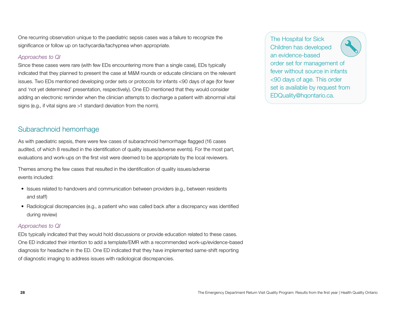One recurring observation unique to the paediatric sepsis cases was a failure to recognize the significance or follow up on tachycardia/tachypnea when appropriate.

#### *Approaches to QI*

Since these cases were rare (with few EDs encountering more than a single case), EDs typically indicated that they planned to present the case at M&M rounds or educate clinicians on the relevant issues. Two EDs mentioned developing order sets or protocols for infants <90 days of age (for fever and 'not yet determined' presentation, respectively). One ED mentioned that they would consider adding an electronic reminder when the clinician attempts to discharge a patient with abnormal vital signs (e.g., if vital signs are >1 standard deviation from the norm).

## Subarachnoid hemorrhage

As with paediatric sepsis, there were few cases of subarachnoid hemorrhage flagged (16 cases audited, of which 8 resulted in the identification of quality issues/adverse events). For the most part, evaluations and work-ups on the first visit were deemed to be appropriate by the local reviewers.

Themes among the few cases that resulted in the identification of quality issues/adverse events included:

- Issues related to handovers and communication between providers (e.g., between residents and staff)
- Radiological discrepancies (e.g., a patient who was called back after a discrepancy was identified during review)

#### *Approaches to QI*

EDs typically indicated that they would hold discussions or provide education related to these cases. One ED indicated their intention to add a template/EMR with a recommended work-up/evidence-based diagnosis for headache in the ED. One ED indicated that they have implemented same-shift reporting of diagnostic imaging to address issues with radiological discrepancies.

The Hospital for Sick Children has developed an evidence-based order set for management of fever without source in infants <90 days of age. This order set is available by request from EDQuality@hqontario.ca.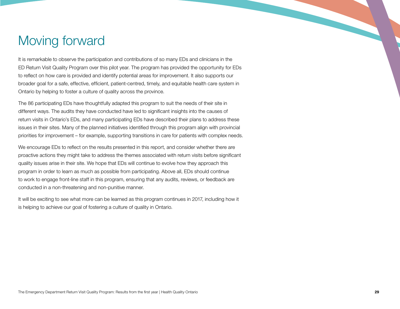## <span id="page-28-0"></span>Moving forward

It is remarkable to observe the participation and contributions of so many EDs and clinicians in the ED Return Visit Quality Program over this pilot year. The program has provided the opportunity for EDs to reflect on how care is provided and identify potential areas for improvement. It also supports our broader goal for a safe, effective, efficient, patient-centred, timely, and equitable health care system in Ontario by helping to foster a culture of quality across the province.

The 86 participating EDs have thoughtfully adapted this program to suit the needs of their site in different ways. The audits they have conducted have led to significant insights into the causes of return visits in Ontario's EDs, and many participating EDs have described their plans to address these issues in their sites. Many of the planned initiatives identified through this program align with provincial priorities for improvement – for example, supporting transitions in care for patients with complex needs.

We encourage EDs to reflect on the results presented in this report, and consider whether there are proactive actions they might take to address the themes associated with return visits before significant quality issues arise in their site. We hope that EDs will continue to evolve how they approach this program in order to learn as much as possible from participating. Above all, EDs should continue to work to engage front-line staff in this program, ensuring that any audits, reviews, or feedback are conducted in a non-threatening and non-punitive manner.

It will be exciting to see what more can be learned as this program continues in 2017, including how it is helping to achieve our goal of fostering a culture of quality in Ontario.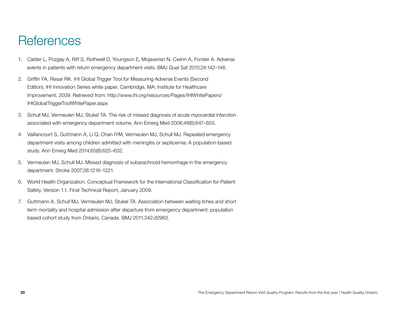## <span id="page-29-0"></span>**References**

- 1. Calder L, Pozgay A, Riff S, Rothwell D, Youngson E, Mojaverian N, Cwinn A, Forster A. Adverse events in patients with return emergency department visits. BMJ Qual Saf 2015;24:142–148.
- 2. Griffin FA, Resar RK. IHI Global Trigger Tool for Measuring Adverse Events (Second Edition). IHI Innovation Series white paper. Cambridge, MA: Institute for Healthcare Improvement; 2009. Retrieved from: http://www.ihi.org/resources/Pages/IHIWhitePapers/ IHIGlobalTriggerToolWhitePaper.aspx
- 3. Schull MJ, Vermeulen MJ, Stukel TA. The risk of missed diagnosis of acute myocardial infarction associated with emergency department volume. Ann Emerg Med 2006;48(6):647–655.
- 4. Vaillancourt S, Guttmann A, Li Q, Chan IYM, Vermeulen MJ, Schull MJ. Repeated emergency department visits among children admitted with meningitis or septicemia: A population-based study. Ann Emerg Med 2014;65(6):625–632.
- 5. Vermeulen MJ, Schull MJ. Missed diagnosis of subarachnoid hemorrhage in the emergency department. Stroke 2007;38:1216–1221.
- 6. World Health Organization. Conceptual Framework for the International Classification for Patient Safety, Version 1.1. Final Technical Report, January 2009.
- 7. Guttmann A, Schull MJ, Vermeulen MJ, Stukel TA. Association between waiting times and short term mortality and hospital admission after departure from emergency department: population based cohort study from Ontario, Canada. BMJ 2011;342:d2983.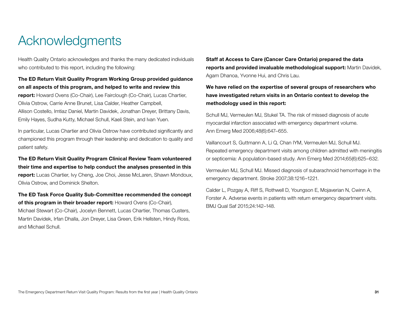## <span id="page-30-0"></span>Acknowledgments

Health Quality Ontario acknowledges and thanks the many dedicated individuals who contributed to this report, including the following:

### The ED Return Visit Quality Program Working Group provided guidance on all aspects of this program, and helped to write and review this report: Howard Ovens (Co-Chair), Lee Fairclough (Co-Chair), Lucas Chartier, Olivia Ostrow, Carrie Anne Brunet, Lisa Calder, Heather Campbell, Allison Costello, Imtiaz Daniel, Martin Davidek, Jonathan Dreyer, Brittany Davis, Emily Hayes, Sudha Kutty, Michael Schull, Kaeli Stein, and Ivan Yuen.

In particular, Lucas Chartier and Olivia Ostrow have contributed significantly and championed this program through their leadership and dedication to quality and patient safety.

The ED Return Visit Quality Program Clinical Review Team volunteered their time and expertise to help conduct the analyses presented in this report: Lucas Chartier, Ivy Cheng, Joe Choi, Jesse McLaren, Shawn Mondoux, Olivia Ostrow, and Dominick Shelton.

The ED Task Force Quality Sub-Committee recommended the concept of this program in their broader report: Howard Ovens (Co-Chair), Michael Stewart (Co-Chair), Jocelyn Bennett, Lucas Chartier, Thomas Custers, Martin Davidek, Irfan Dhalla, Jon Dreyer, Lisa Green, Erik Hellsten, Hindy Ross, and Michael Schull.

Staff at Access to Care (Cancer Care Ontario) prepared the data reports and provided invaluable methodological support: Martin Davidek, Agam Dhanoa, Yvonne Hui, and Chris Lau.

#### We have relied on the expertise of several groups of researchers who have investigated return visits in an Ontario context to develop the methodology used in this report:

Schull MJ, Vermeulen MJ, Stukel TA. The risk of missed diagnosis of acute myocardial infarction associated with emergency department volume. Ann Emerg Med 2006;48(6):647–655.

Vaillancourt S, Guttmann A, Li Q, Chan IYM, Vermeulen MJ, Schull MJ. Repeated emergency department visits among children admitted with meningitis or septicemia: A population-based study. Ann Emerg Med 2014;65(6):625–632.

Vermeulen MJ, Schull MJ. Missed diagnosis of subarachnoid hemorrhage in the emergency department. Stroke 2007;38:1216–1221.

Calder L, Pozgay A, Riff S, Rothwell D, Youngson E, Mojaverian N, Cwinn A, Forster A. Adverse events in patients with return emergency department visits. BMJ Qual Saf 2015;24:142–148.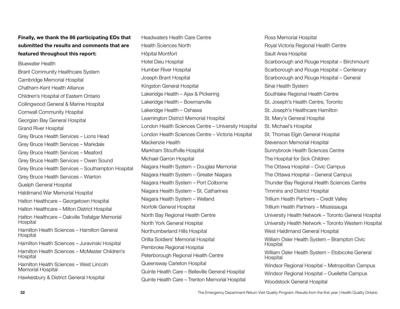#### Finally, we thank the 86 participating EDs that submitted the results and comments that are featured throughout this report:

Bluewater Health Brant Community Healthcare System Cambridge Memorial Hospital Chatham-Kent Health Alliance Children's Hospital of Eastern Ontario Collingwood General & Marine Hospital Cornwall Community Hospital Georgian Bay General Hospital Grand River Hospital Grey Bruce Health Services – Lions Head Grey Bruce Health Services – Markdale Grey Bruce Health Services – Meaford Grey Bruce Health Services – Owen Sound Grey Bruce Health Services – Southampton Hospital Grey Bruce Health Services – Wiarton Guelph General Hospital Haldimand War Memorial Hospital Halton Healthcare – Georgetown Hospital Halton Healthcare – Milton District Hospital Halton Healthcare – Oakville Trafalgar Memorial Hospital Hamilton Health Sciences – Hamilton General **Hospital** Hamilton Health Sciences – Juravinski Hospital Hamilton Health Sciences – McMaster Children's Hospital Hamilton Health Sciences – West Lincoln Memorial Hospital

Hawkesbury & District General Hospital

Headwaters Health Care Centre Health Sciences North Hôpital Montfort Hotel Dieu Hospital Humber River Hospital Joseph Brant Hospital Kingston General Hospital Lakeridge Health – Ajax & Pickering Lakeridge Health – Bowmanville Lakeridge Health – Oshawa Leamington District Memorial Hospital London Health Sciences Centre – University Hospital London Health Sciences Centre – Victoria Hospital Mackenzie Health Markham Stouffville Hospital Michael Garron Hospital Niagara Health System – Douglas Memorial Niagara Health System – Greater Niagara Niagara Health System – Port Colborne Niagara Health System – St. Catharines Niagara Health System – Welland Norfolk General Hospital North Bay Regional Health Centre North York General Hospital Northumberland Hills Hospital Orillia Soldiers' Memorial Hospital Pembroke Regional Hospital Peterborough Regional Health Centre Queensway Carleton Hospital Quinte Health Care – Belleville General Hospital Quinte Health Care – Trenton Memorial Hospital

Ross Memorial Hospital Royal Victoria Regional Health Centre Sault Area Hospital Scarborough and Rouge Hospital – Birchmount Scarborough and Rouge Hospital – Centenary Scarborough and Rouge Hospital – General Sinai Health System Southlake Regional Health Centre St. Joseph's Health Centre, Toronto St. Joseph's Healthcare Hamilton St. Mary's General Hospital St. Michael's Hospital St. Thomas Elgin General Hospital Stevenson Memorial Hospital Sunnybrook Health Sciences Centre The Hospital for Sick Children The Ottawa Hospital – Civic Campus The Ottawa Hospital – General Campus Thunder Bay Regional Health Sciences Centre Timmins and District Hospital Trillium Health Partners – Credit Valley Trillium Health Partners – Mississauga University Health Network – Toronto General Hospital University Health Network – Toronto Western Hospital West Haldimand General Hospital William Osler Health System – Brampton Civic Hospital William Osler Health System – Etobicoke General **Hospital** Windsor Regional Hospital – Metropolitan Campus Windsor Regional Hospital – Ouellette Campus Woodstock General Hospital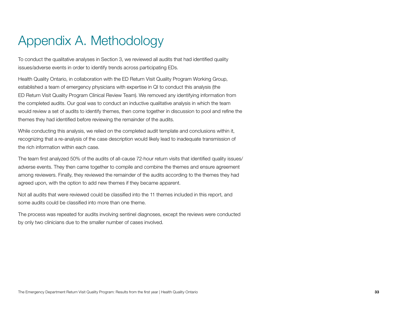## <span id="page-32-0"></span>Appendix A. Methodology

To conduct the qualitative analyses in Section 3, we reviewed all audits that had identified quality issues/adverse events in order to identify trends across participating EDs.

Health Quality Ontario, in collaboration with the ED Return Visit Quality Program Working Group, established a team of emergency physicians with expertise in QI to conduct this analysis (the ED Return Visit Quality Program Clinical Review Team). We removed any identifying information from the completed audits. Our goal was to conduct an inductive qualitative analysis in which the team would review a set of audits to identify themes, then come together in discussion to pool and refine the themes they had identified before reviewing the remainder of the audits.

While conducting this analysis, we relied on the completed audit template and conclusions within it, recognizing that a re-analysis of the case description would likely lead to inadequate transmission of the rich information within each case.

The team first analyzed 50% of the audits of all-cause 72-hour return visits that identified quality issues/ adverse events. They then came together to compile and combine the themes and ensure agreement among reviewers. Finally, they reviewed the remainder of the audits according to the themes they had agreed upon, with the option to add new themes if they became apparent.

Not all audits that were reviewed could be classified into the 11 themes included in this report, and some audits could be classified into more than one theme.

The process was repeated for audits involving sentinel diagnoses, except the reviews were conducted by only two clinicians due to the smaller number of cases involved.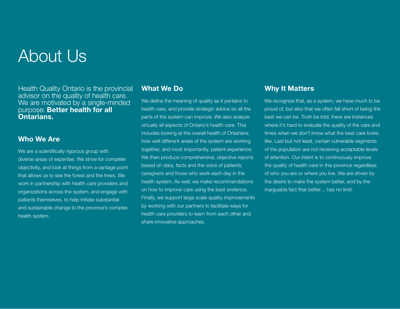# About Us

Health Quality Ontario is the provincial advisor on the quality of health care. We are motivated by a single-minded purpose: Better health for all Ontarians.

### Who We Are

We are a scientifically rigorous group with diverse areas of expertise. We strive for complete objectivity, and look at things from a vantage point that allows us to see the forest and the trees. We work in partnership with health care providers and organizations across the system, and engage with patients themselves, to help initiate substantial and sustainable change to the province's complex health system.

## What We Do

We define the meaning of quality as it pertains to health care, and provide strategic advice so all the parts of the system can improve. We also analyze virtually all aspects of Ontario's health care. This includes looking at the overall health of Ontarians, how well different areas of the system are working together, and most importantly, patient experience. We then produce comprehensive, objective reports based on data, facts and the voice of patients, caregivers and those who work each day in the health system. As well, we make recommendations on how to improve care using the best evidence. Finally, we support large scale quality improvements by working with our partners to facilitate ways for health care providers to learn from each other and share innovative approaches.

### Why It Matters

We recognize that, as a system, we have much to be proud of, but also that we often fall short of being the best we can be. Truth be told, there are instances where it's hard to evaluate the quality of the care and times when we don't know what the best care looks like. Last but not least, certain vulnerable segments of the population are not receiving acceptable levels of attention. Our intent is to continuously improve the quality of health care in this province regardless of who you are or where you live. We are driven by the desire to make the system better, and by the inarguable fact that better… has no limit.